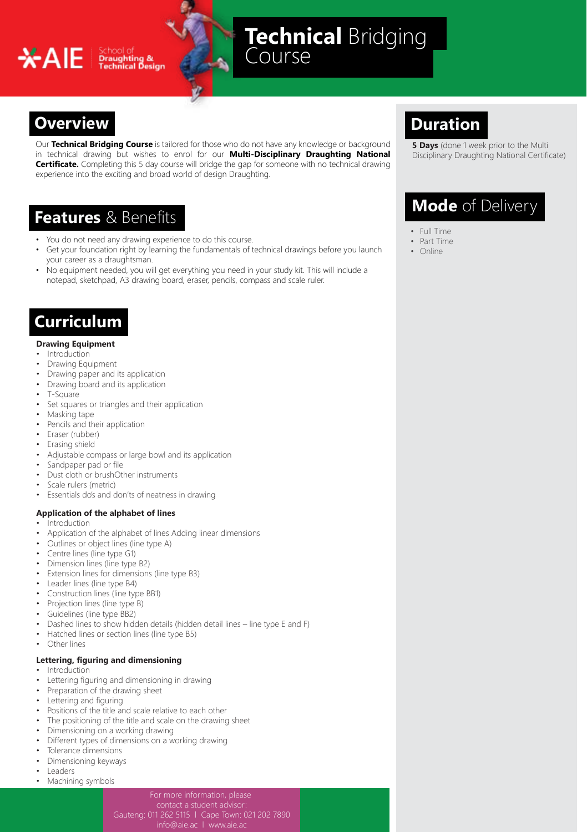## **XAIE** Freughting &

# **Technical** Bridging

## **Overview Duration**

Our **Technical Bridging Course** is tailored for those who do not have any knowledge or background in technical drawing but wishes to enrol for our **Multi-Disciplinary Draughting National Certificate.** Completing this 5 day course will bridge the gap for someone with no technical drawing experience into the exciting and broad world of design Draughting.

## **Features** & Benefits

- You do not need any drawing experience to do this course.
- Get your foundation right by learning the fundamentals of technical drawings before you launch your career as a draughtsman.
- No equipment needed, you will get everything you need in your study kit. This will include a notepad, sketchpad, A3 drawing board, eraser, pencils, compass and scale ruler.

### **Curriculum**

#### **Drawing Equipment**

- **Introduction**
- Drawing Equipment
- Drawing paper and its application
- Drawing board and its application
- T-Square
- Set squares or triangles and their application
- Masking tape
- Pencils and their application
- Eraser (rubber)
- Erasing shield
- Adjustable compass or large bowl and its application
- Sandpaper pad or file
- Dust cloth or brushOther instruments
- Scale rulers (metric)
- Essentials do's and don'ts of neatness in drawing

#### **Application of the alphabet of lines**

- **Introduction**
- Application of the alphabet of lines Adding linear dimensions
- Outlines or object lines (line type A)
- Centre lines (line type G1)
- Dimension lines (line type B2)
- Extension lines for dimensions (line type B3)
- Leader lines (line type B4)
- Construction lines (line type BB1)
- Projection lines (line type B)
- Guidelines (line type BB2)
- Dashed lines to show hidden details (hidden detail lines line type E and F)
- Hatched lines or section lines (line type B5)
- Other lines

#### **Lettering, figuring and dimensioning**

- Introduction
- Lettering figuring and dimensioning in drawing
- Preparation of the drawing sheet
- Lettering and figuring
- Positions of the title and scale relative to each other
- The positioning of the title and scale on the drawing sheet
- Dimensioning on a working drawing
- Different types of dimensions on a working drawing
- Tolerance dimensions
- Dimensioning keyways
- Leaders
- Machining symbols

For more information, please

contact a student advisor: Gauteng: 011 262 5115 l Cape Town: 021 202 7890

**5 Days** (done 1 week prior to the Multi Disciplinary Draughting National Certificate)

## **Mode** of Delivery

- Full Time
- Part Time • Online